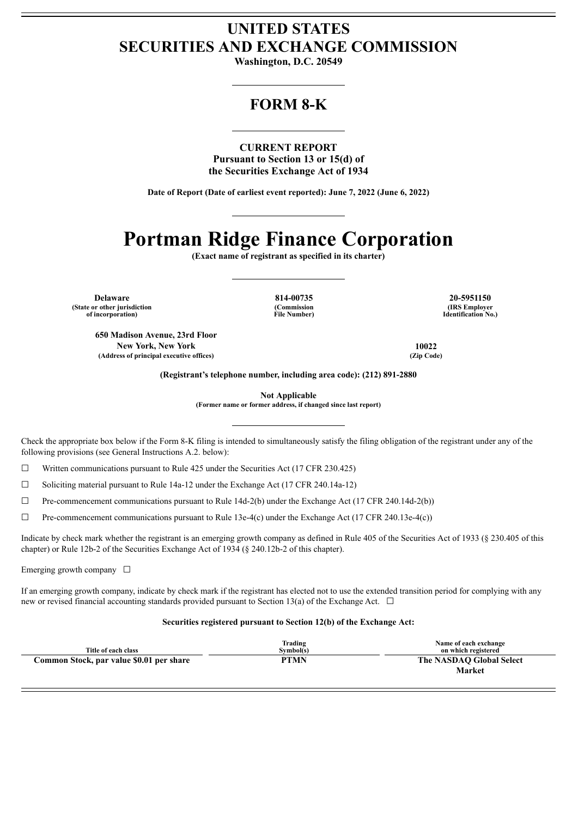## **UNITED STATES SECURITIES AND EXCHANGE COMMISSION**

**Washington, D.C. 20549**

## **FORM 8-K**

**CURRENT REPORT Pursuant to Section 13 or 15(d) of the Securities Exchange Act of 1934**

**Date of Report (Date of earliest event reported): June 7, 2022 (June 6, 2022)**

# **Portman Ridge Finance Corporation**

**(Exact name of registrant as specified in its charter)**

**(State or other jurisdiction of incorporation)**

**(Commission File Number)**

**Delaware 814-00735 20-5951150 (IRS Employer Identification No.)**

**650 Madison Avenue, 23rd Floor New York, New York 10022 (Address of principal executive offices) (Zip Code)**

**(Registrant's telephone number, including area code): (212) 891-2880**

**Not Applicable (Former name or former address, if changed since last report)**

Check the appropriate box below if the Form 8-K filing is intended to simultaneously satisfy the filing obligation of the registrant under any of the following provisions (see General Instructions A.2. below):

 $\Box$  Written communications pursuant to Rule 425 under the Securities Act (17 CFR 230.425)

 $\Box$  Soliciting material pursuant to Rule 14a-12 under the Exchange Act (17 CFR 240.14a-12)

☐ Pre-commencement communications pursuant to Rule 14d-2(b) under the Exchange Act (17 CFR 240.14d-2(b))

 $\Box$  Pre-commencement communications pursuant to Rule 13e-4(c) under the Exchange Act (17 CFR 240.13e-4(c))

Indicate by check mark whether the registrant is an emerging growth company as defined in Rule 405 of the Securities Act of 1933 (§ 230.405 of this chapter) or Rule 12b-2 of the Securities Exchange Act of 1934 (§ 240.12b-2 of this chapter).

Emerging growth company  $\Box$ 

If an emerging growth company, indicate by check mark if the registrant has elected not to use the extended transition period for complying with any new or revised financial accounting standards provided pursuant to Section 13(a) of the Exchange Act.  $\Box$ 

#### **Securities registered pursuant to Section 12(b) of the Exchange Act:**

| Title of each class                      | Trading<br>Svmbol(s) | Name of each exchange<br>on which registered |
|------------------------------------------|----------------------|----------------------------------------------|
| Common Stock, par value \$0.01 per share | PTMN                 | The NASDAO Global Select                     |
|                                          |                      | Market                                       |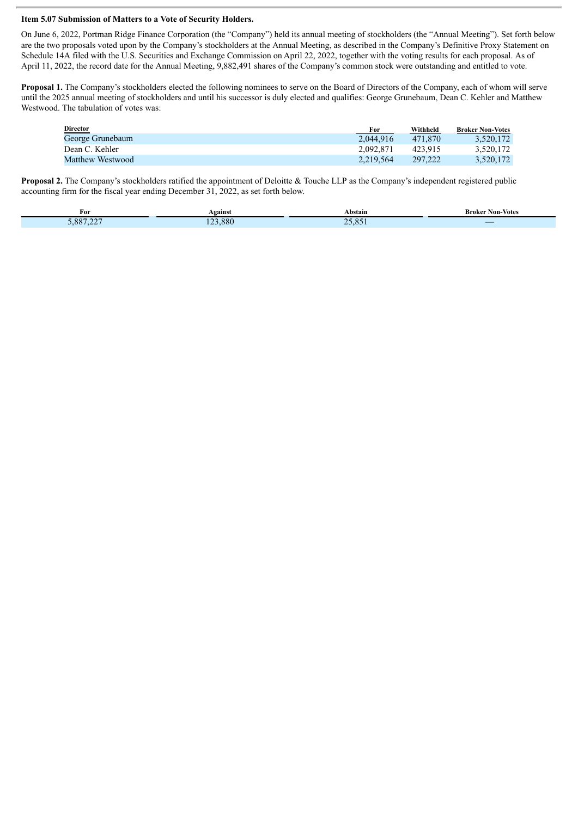#### **Item 5.07 Submission of Matters to a Vote of Security Holders.**

On June 6, 2022, Portman Ridge Finance Corporation (the "Company") held its annual meeting of stockholders (the "Annual Meeting"). Set forth below are the two proposals voted upon by the Company's stockholders at the Annual Meeting, as described in the Company's Definitive Proxy Statement on Schedule 14A filed with the U.S. Securities and Exchange Commission on April 22, 2022, together with the voting results for each proposal. As of April 11, 2022, the record date for the Annual Meeting, 9,882,491 shares of the Company's common stock were outstanding and entitled to vote.

**Proposal 1.** The Company's stockholders elected the following nominees to serve on the Board of Directors of the Company, each of whom will serve until the 2025 annual meeting of stockholders and until his successor is duly elected and qualifies: George Grunebaum, Dean C. Kehler and Matthew Westwood. The tabulation of votes was:

| Director         | For       | Withheld | <b>Broker Non-Votes</b> |
|------------------|-----------|----------|-------------------------|
| George Grunebaum | 2.044.916 | 471.870  | 3.520.172               |
| Dean C. Kehler   | 2.092.871 | 423.915  | 3.520.172               |
| Matthew Westwood | 2.219.564 | 297.222  | 3,520,172               |

**Proposal 2.** The Company's stockholders ratified the appointment of Deloitte & Touche LLP as the Company's independent registered public accounting firm for the fiscal year ending December 31, 2022, as set forth below.

| For     | <b>\gainst</b> | Abstain                       | Non-Votes<br>- Kroker |
|---------|----------------|-------------------------------|-----------------------|
| 887 227 | .880<br>$\sim$ | $\Omega$<br>$\sim$<br>$-11.7$ | _                     |